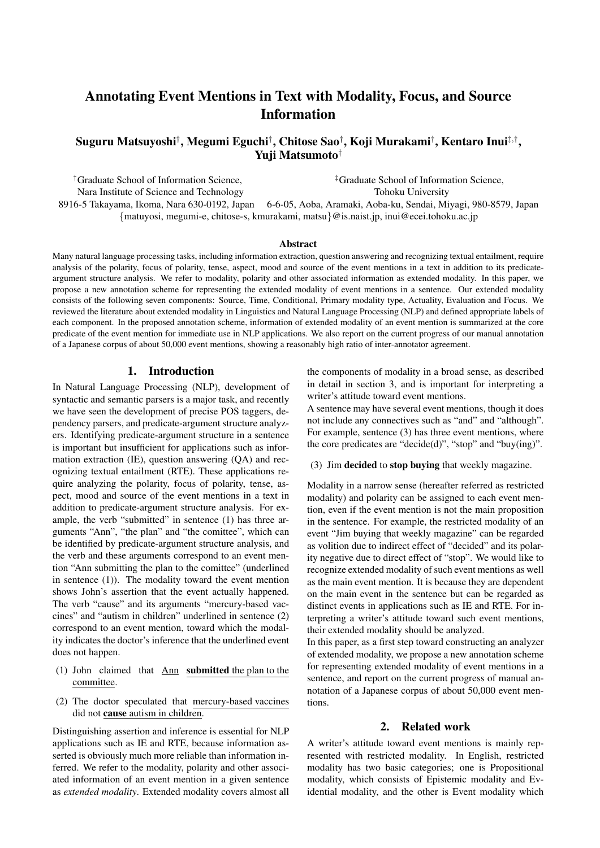# Annotating Event Mentions in Text with Modality, Focus, and Source Information

# Suguru Matsuyoshi*†* , Megumi Eguchi*†* , Chitose Sao*†* , Koji Murakami*†* , Kentaro Inui*‡,†* , Yuji Matsumoto*†*

*†*Graduate School of Information Science, *‡*Graduate School of Information Science, Nara Institute of Science and Technology Tohoku University 8916-5 Takayama, Ikoma, Nara 630-0192, Japan 6-6-05, Aoba, Aramaki, Aoba-ku, Sendai, Miyagi, 980-8579, Japan *{*matuyosi, megumi-e, chitose-s, kmurakami, matsu*}*@is.naist.jp, inui@ecei.tohoku.ac.jp

#### Abstract

Many natural language processing tasks, including information extraction, question answering and recognizing textual entailment, require analysis of the polarity, focus of polarity, tense, aspect, mood and source of the event mentions in a text in addition to its predicateargument structure analysis. We refer to modality, polarity and other associated information as extended modality. In this paper, we propose a new annotation scheme for representing the extended modality of event mentions in a sentence. Our extended modality consists of the following seven components: Source, Time, Conditional, Primary modality type, Actuality, Evaluation and Focus. We reviewed the literature about extended modality in Linguistics and Natural Language Processing (NLP) and defined appropriate labels of each component. In the proposed annotation scheme, information of extended modality of an event mention is summarized at the core predicate of the event mention for immediate use in NLP applications. We also report on the current progress of our manual annotation of a Japanese corpus of about 50,000 event mentions, showing a reasonably high ratio of inter-annotator agreement.

# 1. Introduction

In Natural Language Processing (NLP), development of syntactic and semantic parsers is a major task, and recently we have seen the development of precise POS taggers, dependency parsers, and predicate-argument structure analyzers. Identifying predicate-argument structure in a sentence is important but insufficient for applications such as information extraction (IE), question answering (QA) and recognizing textual entailment (RTE). These applications require analyzing the polarity, focus of polarity, tense, aspect, mood and source of the event mentions in a text in addition to predicate-argument structure analysis. For example, the verb "submitted" in sentence (1) has three arguments "Ann", "the plan" and "the comittee", which can be identified by predicate-argument structure analysis, and the verb and these arguments correspond to an event mention "Ann submitting the plan to the comittee" (underlined in sentence (1)). The modality toward the event mention shows John's assertion that the event actually happened. The verb "cause" and its arguments "mercury-based vaccines" and "autism in children" underlined in sentence (2) correspond to an event mention, toward which the modality indicates the doctor's inference that the underlined event does not happen.

- (1) John claimed that Ann submitted the plan to the committee.
- (2) The doctor speculated that mercury-based vaccines did not cause autism in children.

Distinguishing assertion and inference is essential for NLP applications such as IE and RTE, because information asserted is obviously much more reliable than information inferred. We refer to the modality, polarity and other associated information of an event mention in a given sentence as *extended modality*. Extended modality covers almost all

the components of modality in a broad sense, as described in detail in section 3, and is important for interpreting a writer's attitude toward event mentions.

A sentence may have several event mentions, though it does not include any connectives such as "and" and "although". For example, sentence (3) has three event mentions, where the core predicates are "decide(d)", "stop" and "buy(ing)".

#### (3) Jim decided to stop buying that weekly magazine.

Modality in a narrow sense (hereafter referred as restricted modality) and polarity can be assigned to each event mention, even if the event mention is not the main proposition in the sentence. For example, the restricted modality of an event "Jim buying that weekly magazine" can be regarded as volition due to indirect effect of "decided" and its polarity negative due to direct effect of "stop". We would like to recognize extended modality of such event mentions as well as the main event mention. It is because they are dependent on the main event in the sentence but can be regarded as distinct events in applications such as IE and RTE. For interpreting a writer's attitude toward such event mentions, their extended modality should be analyzed.

In this paper, as a first step toward constructing an analyzer of extended modality, we propose a new annotation scheme for representing extended modality of event mentions in a sentence, and report on the current progress of manual annotation of a Japanese corpus of about 50,000 event mentions.

#### 2. Related work

A writer's attitude toward event mentions is mainly represented with restricted modality. In English, restricted modality has two basic categories; one is Propositional modality, which consists of Epistemic modality and Evidential modality, and the other is Event modality which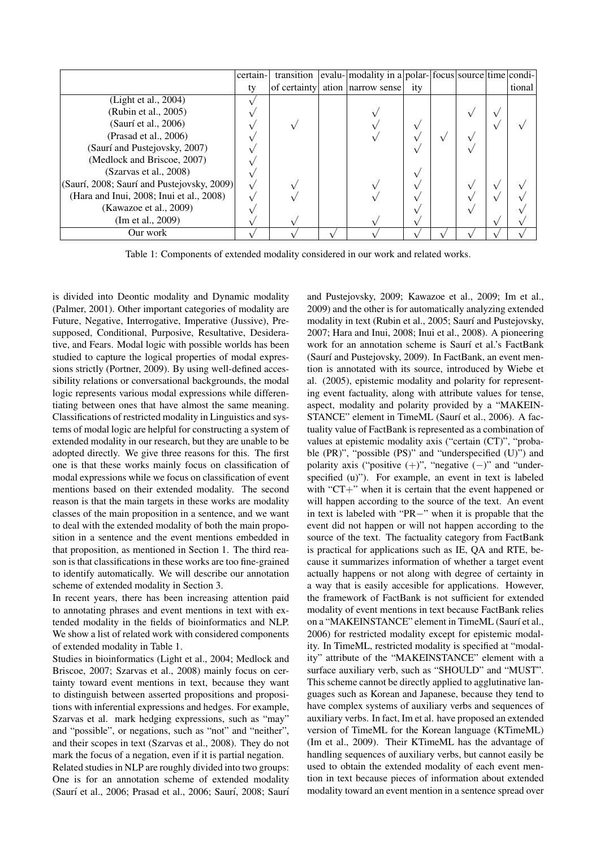|                                            | certain- | transition | evalu- modality in a polar- focus source time condi- |     |  |        |
|--------------------------------------------|----------|------------|------------------------------------------------------|-----|--|--------|
|                                            | ty       |            | of certainty ation narrow sense                      | ity |  | tional |
| (Light et al., 2004)                       |          |            |                                                      |     |  |        |
| (Rubin et al., 2005)                       |          |            |                                                      |     |  |        |
| (Saurí et al., 2006)                       |          |            |                                                      |     |  |        |
| (Prasad et al., 2006)                      |          |            |                                                      |     |  |        |
| (Saurí and Pustejovsky, 2007)              |          |            |                                                      |     |  |        |
| (Medlock and Briscoe, 2007)                |          |            |                                                      |     |  |        |
| (Szarvas et al., 2008)                     |          |            |                                                      |     |  |        |
| (Saurí, 2008; Saurí and Pustejovsky, 2009) |          |            |                                                      |     |  |        |
| (Hara and Inui, 2008; Inui et al., 2008)   |          |            |                                                      |     |  |        |
| (Kawazoe et al., 2009)                     |          |            |                                                      |     |  |        |
| (Im et al., 2009)                          |          |            |                                                      |     |  |        |
| Our work                                   |          |            |                                                      |     |  |        |

Table 1: Components of extended modality considered in our work and related works.

is divided into Deontic modality and Dynamic modality (Palmer, 2001). Other important categories of modality are Future, Negative, Interrogative, Imperative (Jussive), Presupposed, Conditional, Purposive, Resultative, Desiderative, and Fears. Modal logic with possible worlds has been studied to capture the logical properties of modal expressions strictly (Portner, 2009). By using well-defined accessibility relations or conversational backgrounds, the modal logic represents various modal expressions while differentiating between ones that have almost the same meaning. Classifications of restricted modality in Linguistics and systems of modal logic are helpful for constructing a system of extended modality in our research, but they are unable to be adopted directly. We give three reasons for this. The first one is that these works mainly focus on classification of modal expressions while we focus on classification of event mentions based on their extended modality. The second reason is that the main targets in these works are modality classes of the main proposition in a sentence, and we want to deal with the extended modality of both the main proposition in a sentence and the event mentions embedded in that proposition, as mentioned in Section 1. The third reason is that classifications in these works are too fine-grained to identify automatically. We will describe our annotation scheme of extended modality in Section 3.

In recent years, there has been increasing attention paid to annotating phrases and event mentions in text with extended modality in the fields of bioinformatics and NLP. We show a list of related work with considered components of extended modality in Table 1.

Studies in bioinformatics (Light et al., 2004; Medlock and Briscoe, 2007; Szarvas et al., 2008) mainly focus on certainty toward event mentions in text, because they want to distinguish between asserted propositions and propositions with inferential expressions and hedges. For example, Szarvas et al. mark hedging expressions, such as "may" and "possible", or negations, such as "not" and "neither", and their scopes in text (Szarvas et al., 2008). They do not mark the focus of a negation, even if it is partial negation.

Related studies in NLP are roughly divided into two groups: One is for an annotation scheme of extended modality (Saurí et al., 2006; Prasad et al., 2006; Saurí, 2008; Saurí and Pustejovsky, 2009; Kawazoe et al., 2009; Im et al., 2009) and the other is for automatically analyzing extended modality in text (Rubin et al., 2005; Saurí and Pustejovsky, 2007; Hara and Inui, 2008; Inui et al., 2008). A pioneering work for an annotation scheme is Saurí et al.'s FactBank (Saurí and Pustejovsky, 2009). In FactBank, an event mention is annotated with its source, introduced by Wiebe et al. (2005), epistemic modality and polarity for representing event factuality, along with attribute values for tense, aspect, modality and polarity provided by a "MAKEIN-STANCE" element in TimeML (Saurí et al., 2006). A factuality value of FactBank is represented as a combination of values at epistemic modality axis ("certain (CT)", "probable (PR)", "possible (PS)" and "underspecified (U)") and polarity axis ("positive (+)", "negative (*−*)" and "underspecified (u)"). For example, an event in text is labeled with "CT+" when it is certain that the event happened or will happen according to the source of the text. An event in text is labeled with "PR*−*" when it is propable that the event did not happen or will not happen according to the source of the text. The factuality category from FactBank is practical for applications such as IE, QA and RTE, because it summarizes information of whether a target event actually happens or not along with degree of certainty in a way that is easily accesible for applications. However, the framework of FactBank is not sufficient for extended modality of event mentions in text because FactBank relies on a "MAKEINSTANCE" element in TimeML (Saurí et al., 2006) for restricted modality except for epistemic modality. In TimeML, restricted modality is specified at "modality" attribute of the "MAKEINSTANCE" element with a surface auxiliary verb, such as "SHOULD" and "MUST". This scheme cannot be directly applied to agglutinative languages such as Korean and Japanese, because they tend to have complex systems of auxiliary verbs and sequences of auxiliary verbs. In fact, Im et al. have proposed an extended version of TimeML for the Korean language (KTimeML) (Im et al., 2009). Their KTimeML has the advantage of handling sequences of auxiliary verbs, but cannot easily be used to obtain the extended modality of each event mention in text because pieces of information about extended modality toward an event mention in a sentence spread over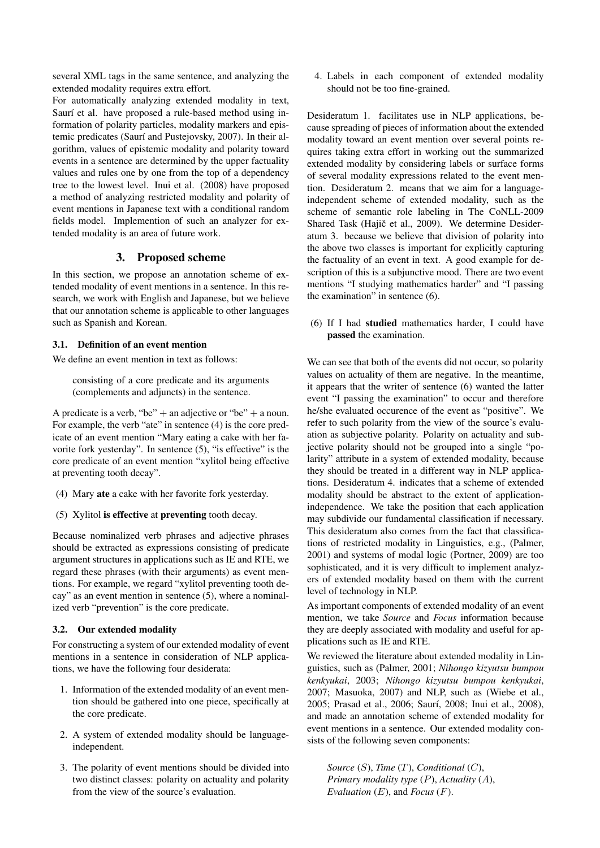several XML tags in the same sentence, and analyzing the extended modality requires extra effort.

For automatically analyzing extended modality in text, Saurí et al. have proposed a rule-based method using information of polarity particles, modality markers and epistemic predicates (Saurí and Pustejovsky, 2007). In their algorithm, values of epistemic modality and polarity toward events in a sentence are determined by the upper factuality values and rules one by one from the top of a dependency tree to the lowest level. Inui et al. (2008) have proposed a method of analyzing restricted modality and polarity of event mentions in Japanese text with a conditional random fields model. Implemention of such an analyzer for extended modality is an area of future work.

# 3. Proposed scheme

In this section, we propose an annotation scheme of extended modality of event mentions in a sentence. In this research, we work with English and Japanese, but we believe that our annotation scheme is applicable to other languages such as Spanish and Korean.

# 3.1. Definition of an event mention

We define an event mention in text as follows:

consisting of a core predicate and its arguments (complements and adjuncts) in the sentence.

A predicate is a verb, "be" + an adjective or "be" + a noun. For example, the verb "ate" in sentence (4) is the core predicate of an event mention "Mary eating a cake with her favorite fork yesterday". In sentence (5), "is effective" is the core predicate of an event mention "xylitol being effective at preventing tooth decay".

- (4) Mary ate a cake with her favorite fork yesterday.
- (5) Xylitol is effective at preventing tooth decay.

Because nominalized verb phrases and adjective phrases should be extracted as expressions consisting of predicate argument structures in applications such as IE and RTE, we regard these phrases (with their arguments) as event mentions. For example, we regard "xylitol preventing tooth decay" as an event mention in sentence (5), where a nominalized verb "prevention" is the core predicate.

# 3.2. Our extended modality

For constructing a system of our extended modality of event mentions in a sentence in consideration of NLP applications, we have the following four desiderata:

- 1. Information of the extended modality of an event mention should be gathered into one piece, specifically at the core predicate.
- 2. A system of extended modality should be languageindependent.
- 3. The polarity of event mentions should be divided into two distinct classes: polarity on actuality and polarity from the view of the source's evaluation.

4. Labels in each component of extended modality should not be too fine-grained.

Desideratum 1. facilitates use in NLP applications, because spreading of pieces of information about the extended modality toward an event mention over several points requires taking extra effort in working out the summarized extended modality by considering labels or surface forms of several modality expressions related to the event mention. Desideratum 2. means that we aim for a languageindependent scheme of extended modality, such as the scheme of semantic role labeling in The CoNLL-2009 Shared Task (Hajič et al., 2009). We determine Desideratum 3. because we believe that division of polarity into the above two classes is important for explicitly capturing the factuality of an event in text. A good example for description of this is a subjunctive mood. There are two event mentions "I studying mathematics harder" and "I passing the examination" in sentence (6).

(6) If I had studied mathematics harder, I could have passed the examination.

We can see that both of the events did not occur, so polarity values on actuality of them are negative. In the meantime, it appears that the writer of sentence (6) wanted the latter event "I passing the examination" to occur and therefore he/she evaluated occurence of the event as "positive". We refer to such polarity from the view of the source's evaluation as subjective polarity. Polarity on actuality and subjective polarity should not be grouped into a single "polarity" attribute in a system of extended modality, because they should be treated in a different way in NLP applications. Desideratum 4. indicates that a scheme of extended modality should be abstract to the extent of applicationindependence. We take the position that each application may subdivide our fundamental classification if necessary. This desideratum also comes from the fact that classifications of restricted modality in Linguistics, e.g., (Palmer, 2001) and systems of modal logic (Portner, 2009) are too sophisticated, and it is very difficult to implement analyzers of extended modality based on them with the current level of technology in NLP.

As important components of extended modality of an event mention, we take *Source* and *Focus* information because they are deeply associated with modality and useful for applications such as IE and RTE.

We reviewed the literature about extended modality in Linguistics, such as (Palmer, 2001; *Nihongo kizyutsu bumpou kenkyukai*, 2003; *Nihongo kizyutsu bumpou kenkyukai*, 2007; Masuoka, 2007) and NLP, such as (Wiebe et al., 2005; Prasad et al., 2006; Saurí, 2008; Inui et al., 2008), and made an annotation scheme of extended modality for event mentions in a sentence. Our extended modality consists of the following seven components:

*Source* (*S*), *Time* (*T*), *Conditional* (*C*), *Primary modality type* (*P*), *Actuality* (*A*), *Evaluation* (*E*), and *Focus* (*F*).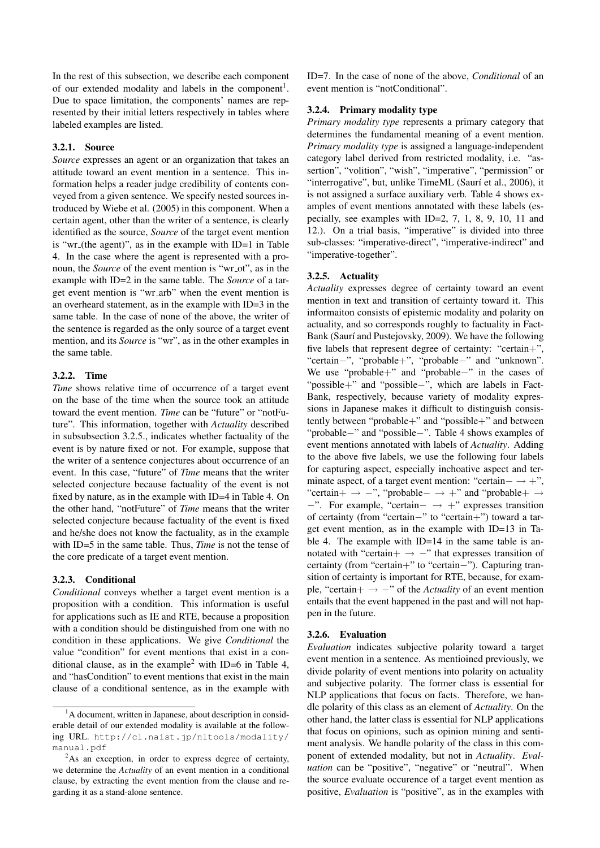In the rest of this subsection, we describe each component of our extended modality and labels in the component<sup>1</sup>. Due to space limitation, the components' names are represented by their initial letters respectively in tables where labeled examples are listed.

# 3.2.1. Source

*Source* expresses an agent or an organization that takes an attitude toward an event mention in a sentence. This information helps a reader judge credibility of contents conveyed from a given sentence. We specify nested sources introduced by Wiebe et al. (2005) in this component. When a certain agent, other than the writer of a sentence, is clearly identified as the source, *Source* of the target event mention is "wr (the agent)", as in the example with ID=1 in Table 4. In the case where the agent is represented with a pronoun, the *Source* of the event mention is "wr<sub>-</sub>ot", as in the example with ID=2 in the same table. The *Source* of a target event mention is "wr arb" when the event mention is an overheard statement, as in the example with ID=3 in the same table. In the case of none of the above, the writer of the sentence is regarded as the only source of a target event mention, and its *Source* is "wr", as in the other examples in the same table.

#### 3.2.2. Time

*Time* shows relative time of occurrence of a target event on the base of the time when the source took an attitude toward the event mention. *Time* can be "future" or "notFuture". This information, together with *Actuality* described in subsubsection 3.2.5., indicates whether factuality of the event is by nature fixed or not. For example, suppose that the writer of a sentence conjectures about occurrence of an event. In this case, "future" of *Time* means that the writer selected conjecture because factuality of the event is not fixed by nature, as in the example with ID=4 in Table 4. On the other hand, "notFuture" of *Time* means that the writer selected conjecture because factuality of the event is fixed and he/she does not know the factuality, as in the example with ID=5 in the same table. Thus, *Time* is not the tense of the core predicate of a target event mention.

#### 3.2.3. Conditional

*Conditional* conveys whether a target event mention is a proposition with a condition. This information is useful for applications such as IE and RTE, because a proposition with a condition should be distinguished from one with no condition in these applications. We give *Conditional* the value "condition" for event mentions that exist in a conditional clause, as in the example<sup>2</sup> with ID=6 in Table 4, and "hasCondition" to event mentions that exist in the main clause of a conditional sentence, as in the example with ID=7. In the case of none of the above, *Conditional* of an event mention is "notConditional".

#### 3.2.4. Primary modality type

*Primary modality type* represents a primary category that determines the fundamental meaning of a event mention. *Primary modality type* is assigned a language-independent category label derived from restricted modality, i.e. "assertion", "volition", "wish", "imperative", "permission" or "interrogative", but, unlike TimeML (Saurí et al., 2006), it is not assigned a surface auxiliary verb. Table 4 shows examples of event mentions annotated with these labels (especially, see examples with ID=2, 7, 1, 8, 9, 10, 11 and 12.). On a trial basis, "imperative" is divided into three sub-classes: "imperative-direct", "imperative-indirect" and "imperative-together".

### 3.2.5. Actuality

*Actuality* expresses degree of certainty toward an event mention in text and transition of certainty toward it. This informaiton consists of epistemic modality and polarity on actuality, and so corresponds roughly to factuality in Fact-Bank (Saurí and Pustejovsky, 2009). We have the following five labels that represent degree of certainty: "certain+", "certain*−*", "probable+", "probable*−*" and "unknown". We use "probable+" and "probable*−*" in the cases of "possible+" and "possible*−*", which are labels in Fact-Bank, respectively, because variety of modality expressions in Japanese makes it difficult to distinguish consistently between "probable+" and "possible+" and between "probable*−*" and "possible*−*". Table 4 shows examples of event mentions annotated with labels of *Actuality*. Adding to the above five labels, we use the following four labels for capturing aspect, especially inchoative aspect and terminate aspect, of a target event mention: "certain*− →* +", "certain+ *→ −*", "probable*− →* +" and "probable+ *→ −*". For example, "certain*− →* +" expresses transition of certainty (from "certain*−*" to "certain+") toward a target event mention, as in the example with ID=13 in Table 4. The example with ID=14 in the same table is annotated with "certain+ *→ −*" that expresses transition of certainty (from "certain+" to "certain*−*"). Capturing transition of certainty is important for RTE, because, for example, "certain+ *→ −*" of the *Actuality* of an event mention entails that the event happened in the past and will not happen in the future.

#### 3.2.6. Evaluation

*Evaluation* indicates subjective polarity toward a target event mention in a sentence. As mentioined previously, we divide polarity of event mentions into polarity on actuality and subjective polarity. The former class is essential for NLP applications that focus on facts. Therefore, we handle polarity of this class as an element of *Actuality*. On the other hand, the latter class is essential for NLP applications that focus on opinions, such as opinion mining and sentiment analysis. We handle polarity of the class in this component of extended modality, but not in *Actuality*. *Evaluation* can be "positive", "negative" or "neutral". When the source evaluate occurence of a target event mention as positive, *Evaluation* is "positive", as in the examples with

<sup>&</sup>lt;sup>1</sup>A document, written in Japanese, about description in considerable detail of our extended modality is available at the following URL. http://cl.naist.jp/nltools/modality/ manual.pdf

<sup>&</sup>lt;sup>2</sup>As an exception, in order to express degree of certainty, we determine the *Actuality* of an event mention in a conditional clause, by extracting the event mention from the clause and regarding it as a stand-alone sentence.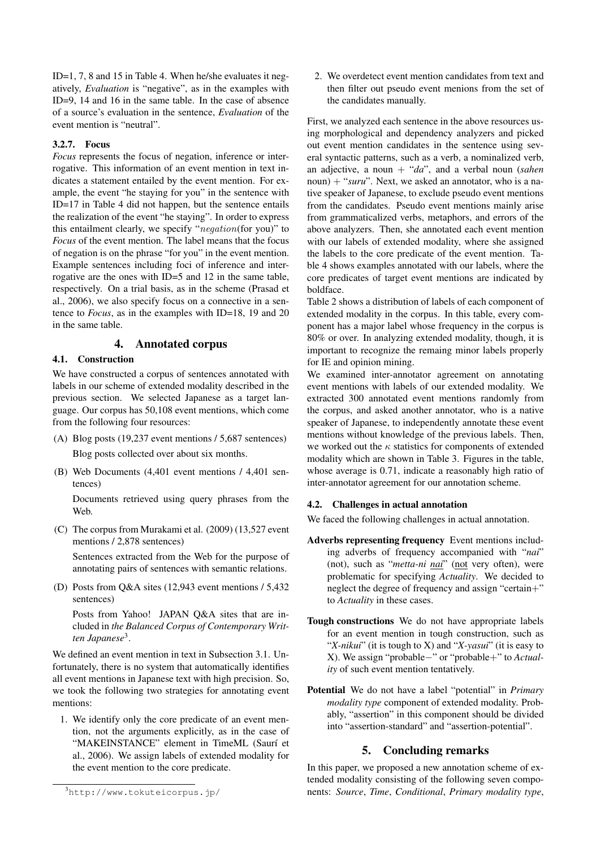ID=1, 7, 8 and 15 in Table 4. When he/she evaluates it negatively, *Evaluation* is "negative", as in the examples with ID=9, 14 and 16 in the same table. In the case of absence of a source's evaluation in the sentence, *Evaluation* of the event mention is "neutral".

#### 3.2.7. Focus

*Focus* represents the focus of negation, inference or interrogative. This information of an event mention in text indicates a statement entailed by the event mention. For example, the event "he staying for you" in the sentence with ID=17 in Table 4 did not happen, but the sentence entails the realization of the event "he staying". In order to express this entailment clearly, we specify "*negation*(for you)" to *Focus* of the event mention. The label means that the focus of negation is on the phrase "for you" in the event mention. Example sentences including foci of inference and interrogative are the ones with ID=5 and 12 in the same table, respectively. On a trial basis, as in the scheme (Prasad et al., 2006), we also specify focus on a connective in a sentence to *Focus*, as in the examples with ID=18, 19 and 20 in the same table.

#### 4. Annotated corpus

# 4.1. Construction

We have constructed a corpus of sentences annotated with labels in our scheme of extended modality described in the previous section. We selected Japanese as a target language. Our corpus has 50,108 event mentions, which come from the following four resources:

- (A) Blog posts (19,237 event mentions / 5,687 sentences) Blog posts collected over about six months.
- (B) Web Documents (4,401 event mentions / 4,401 sentences)

Documents retrieved using query phrases from the Web.

(C) The corpus from Murakami et al. (2009) (13,527 event mentions / 2,878 sentences)

Sentences extracted from the Web for the purpose of annotating pairs of sentences with semantic relations.

(D) Posts from Q&A sites (12,943 event mentions / 5,432 sentences)

Posts from Yahoo! JAPAN Q&A sites that are included in *the Balanced Corpus of Contemporary Written Japanese*<sup>3</sup> .

We defined an event mention in text in Subsection 3.1. Unfortunately, there is no system that automatically identifies all event mentions in Japanese text with high precision. So, we took the following two strategies for annotating event mentions:

1. We identify only the core predicate of an event mention, not the arguments explicitly, as in the case of "MAKEINSTANCE" element in TimeML (Saurí et al., 2006). We assign labels of extended modality for the event mention to the core predicate.

ing morphological and dependency analyzers and picked out event mention candidates in the sentence using several syntactic patterns, such as a verb, a nominalized verb, an adjective, a noun + "*da*", and a verbal noun (*sahen* noun) + "*suru*". Next, we asked an annotator, who is a native speaker of Japanese, to exclude pseudo event mentions from the candidates. Pseudo event mentions mainly arise from grammaticalized verbs, metaphors, and errors of the above analyzers. Then, she annotated each event mention with our labels of extended modality, where she assigned the labels to the core predicate of the event mention. Table 4 shows examples annotated with our labels, where the core predicates of target event mentions are indicated by boldface.

2. We overdetect event mention candidates from text and then filter out pseudo event menions from the set of

Table 2 shows a distribution of labels of each component of extended modality in the corpus. In this table, every component has a major label whose frequency in the corpus is 80% or over. In analyzing extended modality, though, it is important to recognize the remaing minor labels properly for IE and opinion mining.

We examined inter-annotator agreement on annotating event mentions with labels of our extended modality. We extracted 300 annotated event mentions randomly from the corpus, and asked another annotator, who is a native speaker of Japanese, to independently annotate these event mentions without knowledge of the previous labels. Then, we worked out the *κ* statistics for components of extended modality which are shown in Table 3. Figures in the table, whose average is 0.71, indicate a reasonably high ratio of inter-annotator agreement for our annotation scheme.

#### 4.2. Challenges in actual annotation

We faced the following challenges in actual annotation.

- Adverbs representing frequency Event mentions including adverbs of frequency accompanied with "*nai*" (not), such as "*metta-ni nai*" (not very often), were problematic for specifying *Actuality*. We decided to neglect the degree of frequency and assign "certain+" to *Actuality* in these cases.
- Tough constructions We do not have appropriate labels for an event mention in tough construction, such as "*X-nikui*" (it is tough to X) and "*X-yasui*" (it is easy to X). We assign "probable*−*" or "probable+" to *Actuality* of such event mention tentatively.
- Potential We do not have a label "potential" in *Primary modality type* component of extended modality. Probably, "assertion" in this component should be divided into "assertion-standard" and "assertion-potential".

# 5. Concluding remarks

In this paper, we proposed a new annotation scheme of extended modality consisting of the following seven components: *Source*, *Time*, *Conditional*, *Primary modality type*,

the candidates manually. First, we analyzed each sentence in the above resources us-

<sup>3</sup>http://www.tokuteicorpus.jp/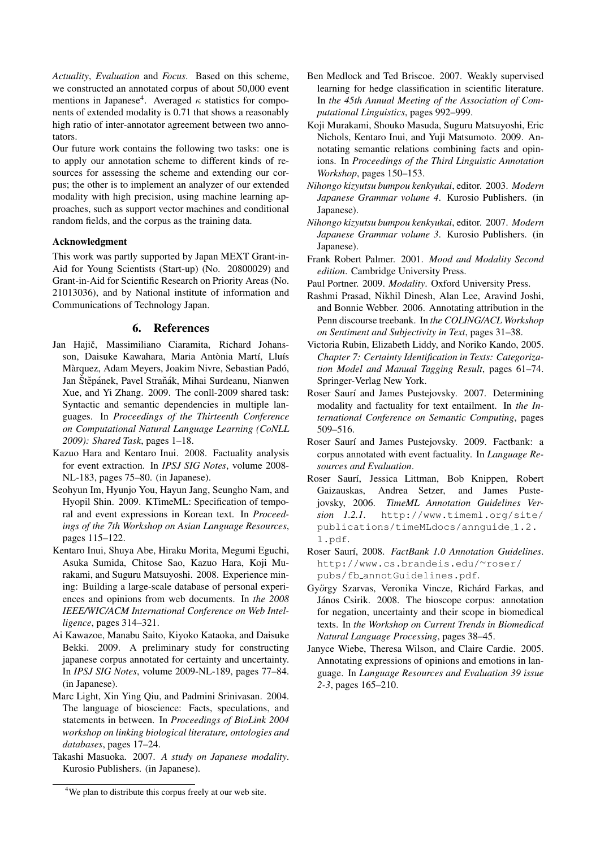*Actuality*, *Evaluation* and *Focus*. Based on this scheme, we constructed an annotated corpus of about 50,000 event mentions in Japanese<sup>4</sup>. Averaged *κ* statistics for components of extended modality is 0.71 that shows a reasonably high ratio of inter-annotator agreement between two annotators.

Our future work contains the following two tasks: one is to apply our annotation scheme to different kinds of resources for assessing the scheme and extending our corpus; the other is to implement an analyzer of our extended modality with high precision, using machine learning approaches, such as support vector machines and conditional random fields, and the corpus as the training data.

#### Acknowledgment

This work was partly supported by Japan MEXT Grant-in-Aid for Young Scientists (Start-up) (No. 20800029) and Grant-in-Aid for Scientific Research on Priority Areas (No. 21013036), and by National institute of information and Communications of Technology Japan.

# 6. References

- Jan Hajič, Massimiliano Ciaramita, Richard Johansson, Daisuke Kawahara, Maria Antònia Martí, Lluís Màrquez, Adam Meyers, Joakim Nivre, Sebastian Padó, Jan Štěpánek, Pavel Straňák, Mihai Surdeanu, Nianwen Xue, and Yi Zhang. 2009. The conll-2009 shared task: Syntactic and semantic dependencies in multiple languages. In *Proceedings of the Thirteenth Conference on Computational Natural Language Learning (CoNLL 2009): Shared Task*, pages 1–18.
- Kazuo Hara and Kentaro Inui. 2008. Factuality analysis for event extraction. In *IPSJ SIG Notes*, volume 2008- NL-183, pages 75–80. (in Japanese).
- Seohyun Im, Hyunjo You, Hayun Jang, Seungho Nam, and Hyopil Shin. 2009. KTimeML: Specification of temporal and event expressions in Korean text. In *Proceedings of the 7th Workshop on Asian Language Resources*, pages 115–122.
- Kentaro Inui, Shuya Abe, Hiraku Morita, Megumi Eguchi, Asuka Sumida, Chitose Sao, Kazuo Hara, Koji Murakami, and Suguru Matsuyoshi. 2008. Experience mining: Building a large-scale database of personal experiences and opinions from web documents. In *the 2008 IEEE/WIC/ACM International Conference on Web Intelligence*, pages 314–321.
- Ai Kawazoe, Manabu Saito, Kiyoko Kataoka, and Daisuke Bekki. 2009. A preliminary study for constructing japanese corpus annotated for certainty and uncertainty. In *IPSJ SIG Notes*, volume 2009-NL-189, pages 77–84. (in Japanese).
- Marc Light, Xin Ying Qiu, and Padmini Srinivasan. 2004. The language of bioscience: Facts, speculations, and statements in between. In *Proceedings of BioLink 2004 workshop on linking biological literature, ontologies and databases*, pages 17–24.
- Takashi Masuoka. 2007. *A study on Japanese modality*. Kurosio Publishers. (in Japanese).
- Ben Medlock and Ted Briscoe. 2007. Weakly supervised learning for hedge classification in scientific literature. In *the 45th Annual Meeting of the Association of Computational Linguistics*, pages 992–999.
- Koji Murakami, Shouko Masuda, Suguru Matsuyoshi, Eric Nichols, Kentaro Inui, and Yuji Matsumoto. 2009. Annotating semantic relations combining facts and opinions. In *Proceedings of the Third Linguistic Annotation Workshop*, pages 150–153.
- *Nihongo kizyutsu bumpou kenkyukai*, editor. 2003. *Modern Japanese Grammar volume 4*. Kurosio Publishers. (in Japanese).
- *Nihongo kizyutsu bumpou kenkyukai*, editor. 2007. *Modern Japanese Grammar volume 3*. Kurosio Publishers. (in Japanese).
- Frank Robert Palmer. 2001. *Mood and Modality Second edition*. Cambridge University Press.
- Paul Portner. 2009. *Modality*. Oxford University Press.
- Rashmi Prasad, Nikhil Dinesh, Alan Lee, Aravind Joshi, and Bonnie Webber. 2006. Annotating attribution in the Penn discourse treebank. In *the COLING/ACL Workshop on Sentiment and Subjectivity in Text*, pages 31–38.
- Victoria Rubin, Elizabeth Liddy, and Noriko Kando, 2005. *Chapter 7: Certainty Identification in Texts: Categorization Model and Manual Tagging Result*, pages 61–74. Springer-Verlag New York.
- Roser Saurí and James Pustejovsky. 2007. Determining modality and factuality for text entailment. In *the International Conference on Semantic Computing*, pages 509–516.
- Roser Saurí and James Pustejovsky. 2009. Factbank: a corpus annotated with event factuality. In *Language Resources and Evaluation*.
- Roser Saurí, Jessica Littman, Bob Knippen, Robert Gaizauskas, Andrea Setzer, and James Pustejovsky, 2006. *TimeML Annotation Guidelines Version 1.2.1*. http://www.timeml.org/site/ publications/timeMLdocs/annguide 1.2. 1.pdf.
- Roser Saur´ı, 2008. *FactBank 1.0 Annotation Guidelines*. http://www.cs.brandeis.edu/*∼*roser/ pubs/fb annotGuidelines.pdf.
- György Szarvas, Veronika Vincze, Richárd Farkas, and János Csirik. 2008. The bioscope corpus: annotation for negation, uncertainty and their scope in biomedical texts. In *the Workshop on Current Trends in Biomedical Natural Language Processing*, pages 38–45.
- Janyce Wiebe, Theresa Wilson, and Claire Cardie. 2005. Annotating expressions of opinions and emotions in language. In *Language Resources and Evaluation 39 issue 2-3*, pages 165–210.

<sup>&</sup>lt;sup>4</sup>We plan to distribute this corpus freely at our web site.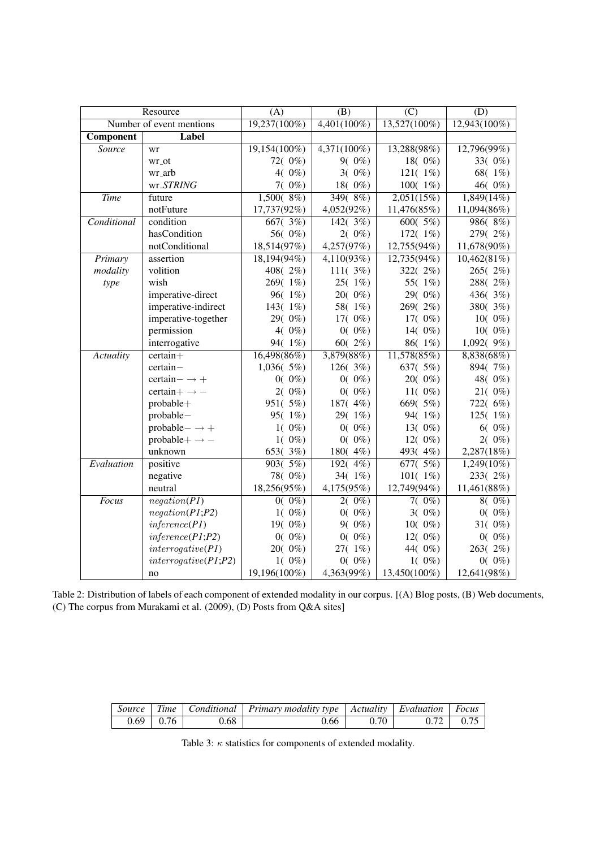| Resource                 |                            | (A)                           | (B)            | (C)             | (D)             |  |
|--------------------------|----------------------------|-------------------------------|----------------|-----------------|-----------------|--|
| Number of event mentions |                            | 19,237(100%)                  | $4,401(100\%)$ | $13,527(100\%)$ | $12,943(100\%)$ |  |
| Component                | Label                      |                               |                |                 |                 |  |
| Source                   | wr                         | $19,154(100\%)$               | $4,371(100\%)$ | 13,288(98%)     | 12,796(99%)     |  |
|                          | wr_ot                      | 72(0%)                        | $9(0\%)$       | 18(0%)          | 33(0%)          |  |
|                          | wr_arb                     | $4(0\%)$                      | $3(0\%)$       | 121 $(1\%)$     | 68(1%)          |  |
|                          | wr_STRING                  | 7(0%)                         | 18(0%)         | 100(1%)         | 46(0%)          |  |
| <b>Time</b>              | future                     | $1,500(8\%)$                  | 349(8%)        | 2,051(15%)      | 1,849(14%)      |  |
|                          | notFuture                  | 17,737(92%)                   | 4,052(92%)     | 11,476(85%)     | 11,094(86%)     |  |
| Conditional              | condition                  | $\sqrt{667}$ ( $\sqrt{3}\%$ ) | 142(3%)        | 600(5%)         | 986(8%)         |  |
|                          | hasCondition               | 56(0%)                        | $2(0\%)$       | 172 $(1\%)$     | 279(2%)         |  |
|                          | notConditional             | 18,514(97%)                   | 4,257(97%)     | 12,755(94%)     | 11,678(90%)     |  |
| Primary                  | assertion                  | 18,194(94%)                   | 4,110(93%)     | 12,735(94%)     | 10,462(81%)     |  |
| modality                 | volition                   | 408(2%)                       | 111(3%)        | 322(2%)         | 265(2%)         |  |
| type                     | wish                       | 269(1%)                       | 25(1%)         | 55(1%)          | 288(2%)         |  |
|                          | imperative-direct          | 96(1%)                        | 20(0%)         | 29(0%)          | 436(3%)         |  |
|                          | imperative-indirect        | 143(1%)                       | 58(1%)         | 269(2%)         | 380(3%)         |  |
|                          | imperative-together        | 29(0%)                        | 17 $(0\%)$     | 17 $(0\%)$      | $10(0\%)$       |  |
|                          | permission                 | $4(0\%)$                      | $0(0\%)$       | 14(0%)          | $10(0\%)$       |  |
|                          | interrogative              | 94(1%)                        | $60(2\%)$      | 86(1%)          | $1,092(9\%)$    |  |
| <b>Actuality</b>         | $certain+$                 | 16,498(86%)                   | 3,879(88%)     | 11,578(85%)     | 8,838(68%)      |  |
|                          | certain-                   | 1,036(5%)                     | 126(3%)        | 637(5%)         | 894(7%)         |  |
|                          | $certain- \rightarrow +$   | $0(0\%)$                      | $0(0\%)$       | 20(0%)          | 48(0%)          |  |
|                          | certain + $\rightarrow$ -  | $2(0\%)$                      | $0(0\%)$       | 11 $(0\%)$      | $21(0\%)$       |  |
|                          | probable+                  | 951(5%)                       | 187(4%)        | 669(5%)         | 722(6%)         |  |
|                          | probable-                  | 95(1%)                        | 29(1%)         | 94(1%)          | 125 $(1\%)$     |  |
|                          | $probable - \rightarrow +$ | $1(0\%)$                      | $0(0\%)$       | 13(0%)          | $6(0\%)$        |  |
|                          | probable + $\rightarrow$ - | $1(0\%)$                      | $0(0\%)$       | 12(0%)          | $2(0\%)$        |  |
|                          | unknown                    | 653(3%)                       | 180(4%)        | 493(4%)         | 2,287(18%)      |  |
| Evaluation               | positive                   | 903(5%)                       | 192(4%)        | 677(.5%)        | $1,249(10\%)$   |  |
|                          | negative                   | 78(0%)                        | 34(1%)         | 101 $(1\%)$     | 233(2%)         |  |
|                          | neutral                    | 18,256(95%)                   | 4,175(95%)     | 12,749(94%)     | 11,461(88%)     |  |
| Focus                    | negation(PI)               | $0(0\%)$                      | $2(0\%)$       | $7(0\%)$        | $8(0\%)$        |  |
|                          | negation(P1;P2)            | $1(0\%)$                      | $0(0\%)$       | $3(0\%)$        | $0(0\%)$        |  |
|                          | inference (PI)             | 19(0%)                        | $9(0\%)$       | $10(0\%)$       | 31 $(0\%)$      |  |
|                          | inference (P1; P2)         | $0(0\%)$                      | $0(0\%)$       | 12 $(0\%)$      | $0(0\%)$        |  |
|                          | interrogative(PI)          | 20(0%)                        | $27(1\%)$      | 44(0%)          | 263(2%)         |  |
|                          | interrogative(PI;P2)       | $1(0\%)$                      | $0(0\%)$       | $1(0\%)$        | $0(0\%)$        |  |
|                          | no                         | 19,196(100%)                  | 4,363(99%)     | 13,450(100%)    | 12,641(98%)     |  |

Table 2: Distribution of labels of each component of extended modality in our corpus. [(A) Blog posts, (B) Web documents, (C) The corpus from Murakami et al. (2009), (D) Posts from Q&A sites]

|                 |      | Source Time   Conditional   Primary modality type   Actuality   Evaluation   Focus |      |              |
|-----------------|------|------------------------------------------------------------------------------------|------|--------------|
| $0.69 \pm 0.76$ | 0.68 | 0.66                                                                               | 0.70 | $\perp$ 0.75 |

Table 3: *κ* statistics for components of extended modality.